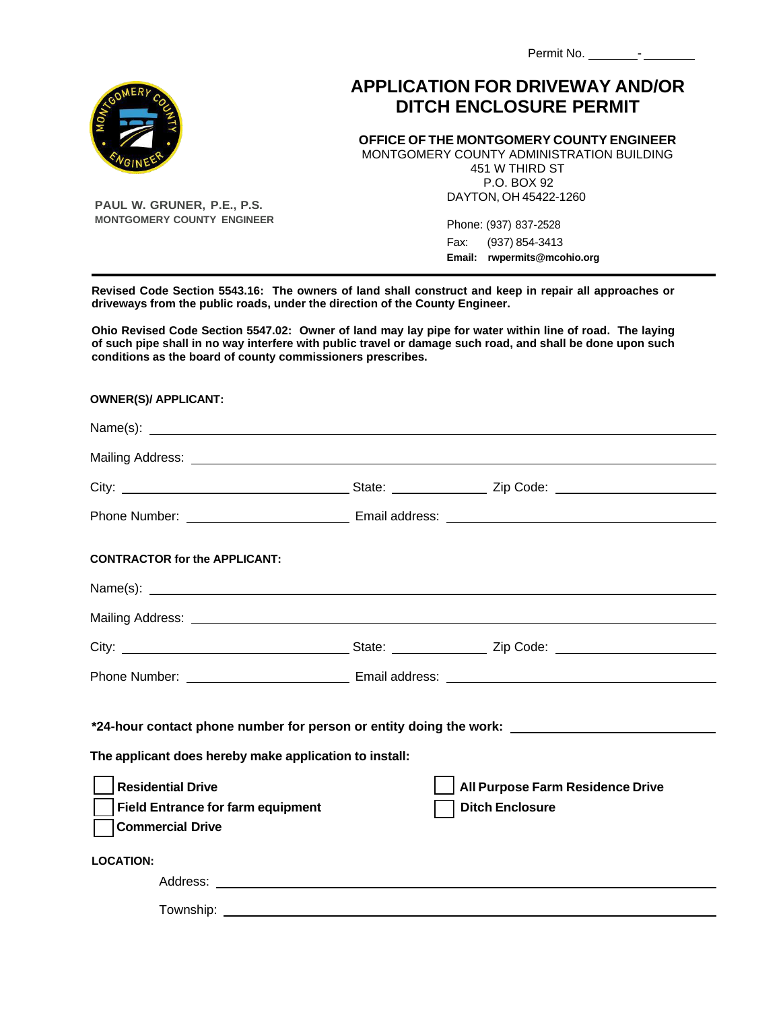| Permit No. |  |
|------------|--|
|------------|--|

## **APPLICATION FOR DRIVEWAY AND/OR DITCH ENCLOSURE PERMIT**

**OFFICE OF THE MONTGOMERY COUNTY ENGINEER** 

MONTGOMERY COUNTY ADMINISTRATION BUILDING 451 W THIRD ST P.O. BOX 92 DAYTON, OH 45422-1260

> Phone: (937) 837-2528 Fax: (937) 854-3413 **Email: rwpermits@mcohio.org**

**Revised Code Section 5543.16: The owners of land shall construct and keep in repair all approaches or driveways from the public roads, under the direction of the County Engineer.**

**Ohio Revised Code Section 5547.02: Owner of land may lay pipe for water within line of road. The laying of such pipe shall in no way interfere with public travel or damage such road, and shall be done upon such conditions as the board of county commissioners prescribes.**

| Mailing Address: Law Mailing Address: Law Mailing Address: Law Mailing Address: Law Mailing Address: Law Mailing Address: Law Mailing Address: Law Mailing Address: Law Mailing Address: Law Mailing Address: Law Mailing Addr |                                                                                                                |
|--------------------------------------------------------------------------------------------------------------------------------------------------------------------------------------------------------------------------------|----------------------------------------------------------------------------------------------------------------|
|                                                                                                                                                                                                                                |                                                                                                                |
|                                                                                                                                                                                                                                |                                                                                                                |
| <b>CONTRACTOR for the APPLICANT:</b>                                                                                                                                                                                           |                                                                                                                |
|                                                                                                                                                                                                                                |                                                                                                                |
|                                                                                                                                                                                                                                |                                                                                                                |
|                                                                                                                                                                                                                                |                                                                                                                |
|                                                                                                                                                                                                                                |                                                                                                                |
|                                                                                                                                                                                                                                | *24-hour contact phone number for person or entity doing the work: which is a series of the series of the seri |
| The applicant does hereby make application to install:                                                                                                                                                                         |                                                                                                                |
| <b>Residential Drive</b><br><b>Field Entrance for farm equipment</b><br><b>Commercial Drive</b>                                                                                                                                | All Purpose Farm Residence Drive<br><b>Ditch Enclosure</b>                                                     |
| <b>LOCATION:</b>                                                                                                                                                                                                               |                                                                                                                |
|                                                                                                                                                                                                                                |                                                                                                                |
|                                                                                                                                                                                                                                |                                                                                                                |



**PAUL W. GRUNER, P.E., P.S. MONTGOMERY COUNTY ENGINEER**

**OWNER(S)/ APPLICANT:**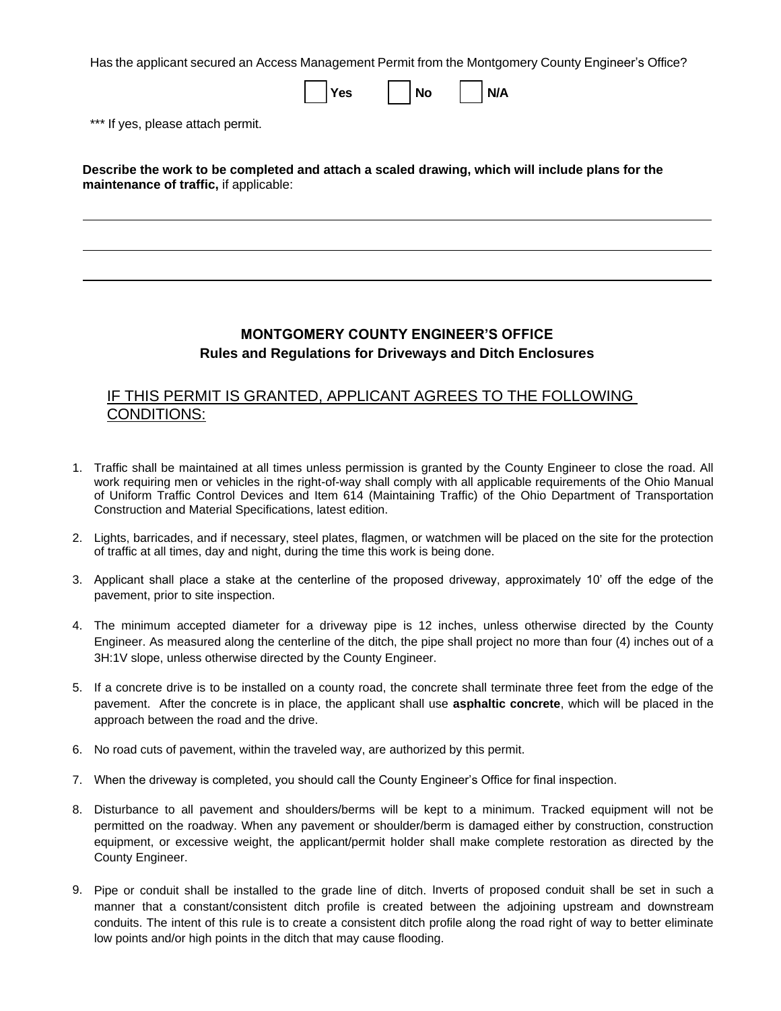Has the applicant secured an Access Management Permit from the Montgomery County Engineer's Office?

|                                                                                                                                           | <b>Yes</b> | <b>No</b> | N/A |  |
|-------------------------------------------------------------------------------------------------------------------------------------------|------------|-----------|-----|--|
| *** If yes, please attach permit.                                                                                                         |            |           |     |  |
| Describe the work to be completed and attach a scaled drawing, which will include plans for the<br>maintenance of traffic, if applicable: |            |           |     |  |
|                                                                                                                                           |            |           |     |  |

## **MONTGOMERY COUNTY ENGINEER'S OFFICE Rules and Regulations for Driveways and Ditch Enclosures**

## IF THIS PERMIT IS GRANTED, APPLICANT AGREES TO THE FOLLOWING CONDITIONS:

- 1. Traffic shall be maintained at all times unless permission is granted by the County Engineer to close the road. All work requiring men or vehicles in the right-of-way shall comply with all applicable requirements of the Ohio Manual of Uniform Traffic Control Devices and Item 614 (Maintaining Traffic) of the Ohio Department of Transportation Construction and Material Specifications, latest edition.
- 2. Lights, barricades, and if necessary, steel plates, flagmen, or watchmen will be placed on the site for the protection of traffic at all times, day and night, during the time this work is being done.
- 3. Applicant shall place a stake at the centerline of the proposed driveway, approximately 10' off the edge of the pavement, prior to site inspection.
- 4. The minimum accepted diameter for a driveway pipe is 12 inches, unless otherwise directed by the County Engineer. As measured along the centerline of the ditch, the pipe shall project no more than four (4) inches out of a 3H:1V slope, unless otherwise directed by the County Engineer.
- 5. If a concrete drive is to be installed on a county road, the concrete shall terminate three feet from the edge of the pavement. After the concrete is in place, the applicant shall use **asphaltic concrete**, which will be placed in the approach between the road and the drive.
- 6. No road cuts of pavement, within the traveled way, are authorized by this permit.
- 7. When the driveway is completed, you should call the County Engineer's Office for final inspection.
- 8. Disturbance to all pavement and shoulders/berms will be kept to a minimum. Tracked equipment will not be permitted on the roadway. When any pavement or shoulder/berm is damaged either by construction, construction equipment, or excessive weight, the applicant/permit holder shall make complete restoration as directed by the County Engineer.
- 9. Pipe or conduit shall be installed to the grade line of ditch. Inverts of proposed conduit shall be set in such a manner that a constant/consistent ditch profile is created between the adjoining upstream and downstream conduits. The intent of this rule is to create a consistent ditch profile along the road right of way to better eliminate low points and/or high points in the ditch that may cause flooding.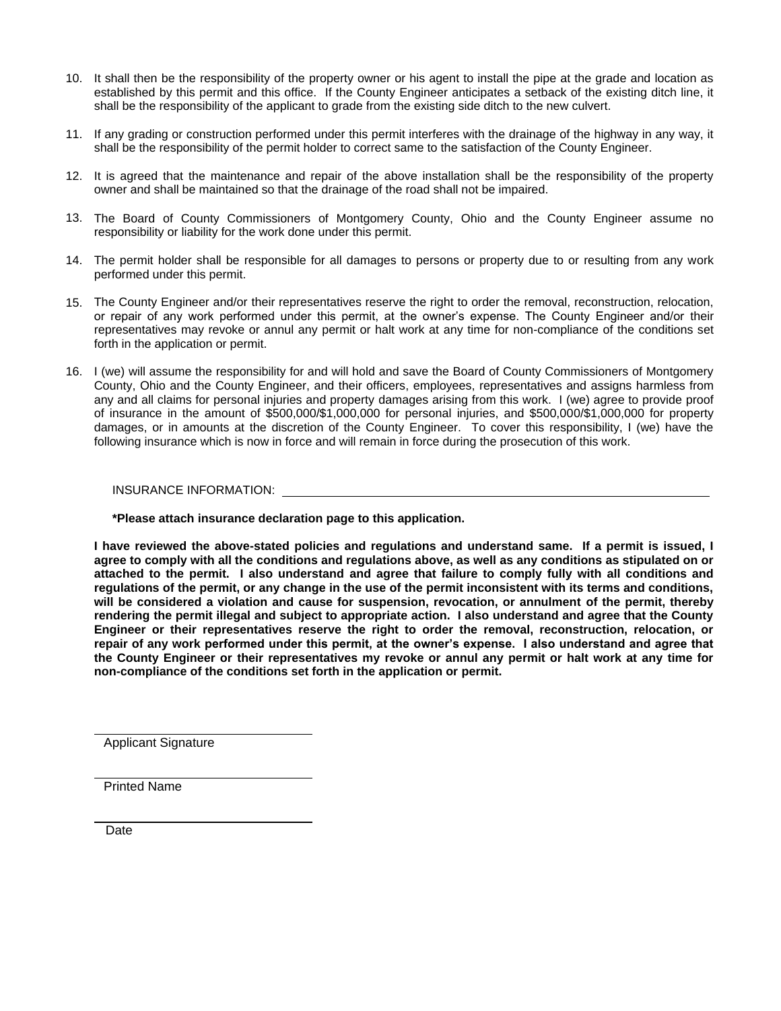- 10. It shall then be the responsibility of the property owner or his agent to install the pipe at the grade and location as established by this permit and this office. If the County Engineer anticipates a setback of the existing ditch line, it shall be the responsibility of the applicant to grade from the existing side ditch to the new culvert.
- 11. If any grading or construction performed under this permit interferes with the drainage of the highway in any way, it shall be the responsibility of the permit holder to correct same to the satisfaction of the County Engineer.
- 12. It is agreed that the maintenance and repair of the above installation shall be the responsibility of the property owner and shall be maintained so that the drainage of the road shall not be impaired.
- 13. The Board of County Commissioners of Montgomery County, Ohio and the County Engineer assume no responsibility or liability for the work done under this permit.
- 14. The permit holder shall be responsible for all damages to persons or property due to or resulting from any work performed under this permit.
- 15. The County Engineer and/or their representatives reserve the right to order the removal, reconstruction, relocation, or repair of any work performed under this permit, at the owner's expense. The County Engineer and/or their representatives may revoke or annul any permit or halt work at any time for non-compliance of the conditions set forth in the application or permit.
- 16. I (we) will assume the responsibility for and will hold and save the Board of County Commissioners of Montgomery County, Ohio and the County Engineer, and their officers, employees, representatives and assigns harmless from any and all claims for personal injuries and property damages arising from this work. I (we) agree to provide proof of insurance in the amount of \$500,000/\$1,000,000 for personal injuries, and \$500,000/\$1,000,000 for property damages, or in amounts at the discretion of the County Engineer. To cover this responsibility, I (we) have the following insurance which is now in force and will remain in force during the prosecution of this work.

## INSURANCE INFORMATION:

**\*Please attach insurance declaration page to this application.**

**I have reviewed the above-stated policies and regulations and understand same. If a permit is issued, I agree to comply with all the conditions and regulations above, as well as any conditions as stipulated on or attached to the permit. I also understand and agree that failure to comply fully with all conditions and regulations of the permit, or any change in the use of the permit inconsistent with its terms and conditions, will be considered a violation and cause for suspension, revocation, or annulment of the permit, thereby rendering the permit illegal and subject to appropriate action. I also understand and agree that the County Engineer or their representatives reserve the right to order the removal, reconstruction, relocation, or repair of any work performed under this permit, at the owner's expense. I also understand and agree that the County Engineer or their representatives my revoke or annul any permit or halt work at any time for non-compliance of the conditions set forth in the application or permit.**

Applicant Signature

Printed Name

Date